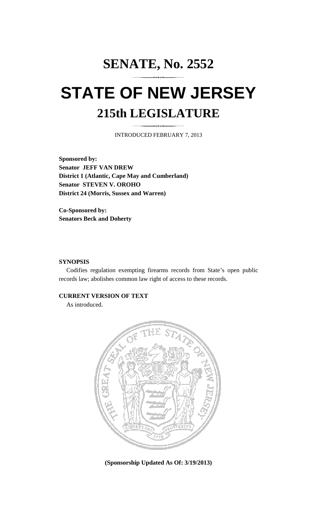# **SENATE, No. 2552 STATE OF NEW JERSEY 215th LEGISLATURE**

INTRODUCED FEBRUARY 7, 2013

**Sponsored by: Senator JEFF VAN DREW District 1 (Atlantic, Cape May and Cumberland) Senator STEVEN V. OROHO District 24 (Morris, Sussex and Warren)** 

**Co-Sponsored by: Senators Beck and Doherty** 

#### **SYNOPSIS**

 Codifies regulation exempting firearms records from State's open public records law; abolishes common law right of access to these records.

### **CURRENT VERSION OF TEXT**

As introduced.



**(Sponsorship Updated As Of: 3/19/2013)**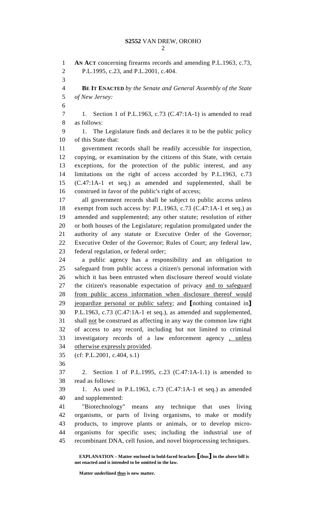2

1 **AN ACT** concerning firearms records and amending P.L.1963, c.73, 2 P.L.1995, c.23, and P.L.2001, c.404. 3 4 **BE IT ENACTED** *by the Senate and General Assembly of the State*  5 *of New Jersey:* 6 7 1. Section 1 of P.L.1963, c.73 (C.47:1A-1) is amended to read 8 as follows: 9 1. The Legislature finds and declares it to be the public policy 10 of this State that: 11 government records shall be readily accessible for inspection, 12 copying, or examination by the citizens of this State, with certain 13 exceptions, for the protection of the public interest, and any 14 limitations on the right of access accorded by P.L.1963, c.73 15 (C.47:1A-1 et seq.) as amended and supplemented, shall be 16 construed in favor of the public's right of access; 17 all government records shall be subject to public access unless 18 exempt from such access by: P.L.1963, c.73 (C.47:1A-1 et seq.) as 19 amended and supplemented; any other statute; resolution of either 20 or both houses of the Legislature; regulation promulgated under the 21 authority of any statute or Executive Order of the Governor; 22 Executive Order of the Governor; Rules of Court; any federal law, 23 federal regulation, or federal order; 24 a public agency has a responsibility and an obligation to 25 safeguard from public access a citizen's personal information with 26 which it has been entrusted when disclosure thereof would violate 27 the citizen's reasonable expectation of privacy and to safeguard 28 from public access information when disclosure thereof would 29 jeopardize personal or public safety; and [nothing contained in] 30 P.L.1963, c.73 (C.47:1A-1 et seq.), as amended and supplemented, 31 shall not be construed as affecting in any way the common law right 32 of access to any record, including but not limited to criminal 33 investigatory records of a law enforcement agency , unless 34 otherwise expressly provided. 35 (cf: P.L.2001, c.404, s.1) 36 37 2. Section 1 of P.L.1995, c.23 (C.47:1A-1.1) is amended to 38 read as follows: 39 1. As used in P.L.1963, c.73 (C.47:1A-1 et seq.) as amended 40 and supplemented: 41 "Biotechnology" means any technique that uses living 42 organisms, or parts of living organisms, to make or modify 43 products, to improve plants or animals, or to develop micro-44 organisms for specific uses; including the industrial use of 45 recombinant DNA, cell fusion, and novel bioprocessing techniques.

 **EXPLANATION – Matter enclosed in bold-faced brackets** [**thus**] **in the above bill is not enacted and is intended to be omitted in the law.** 

**Matter underlined thus is new matter.**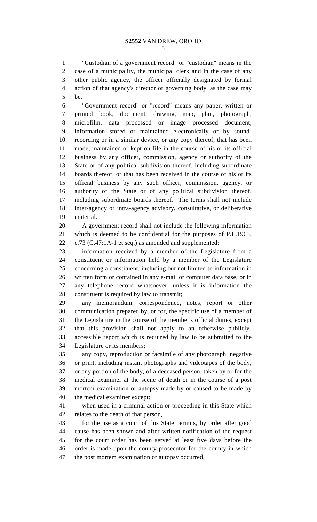1 "Custodian of a government record" or "custodian" means in the 2 case of a municipality, the municipal clerk and in the case of any 3 other public agency, the officer officially designated by formal 4 action of that agency's director or governing body, as the case may 5 be.

6 "Government record" or "record" means any paper, written or 7 printed book, document, drawing, map, plan, photograph, 8 microfilm, data processed or image processed document, 9 information stored or maintained electronically or by sound-10 recording or in a similar device, or any copy thereof, that has been 11 made, maintained or kept on file in the course of his or its official 12 business by any officer, commission, agency or authority of the 13 State or of any political subdivision thereof, including subordinate 14 boards thereof, or that has been received in the course of his or its 15 official business by any such officer, commission, agency, or 16 authority of the State or of any political subdivision thereof, 17 including subordinate boards thereof. The terms shall not include 18 inter-agency or intra-agency advisory, consultative, or deliberative 19 material.

20 A government record shall not include the following information 21 which is deemed to be confidential for the purposes of P.L.1963, 22 c.73 (C.47:1A-1 et seq.) as amended and supplemented:

23 information received by a member of the Legislature from a 24 constituent or information held by a member of the Legislature 25 concerning a constituent, including but not limited to information in 26 written form or contained in any e-mail or computer data base, or in 27 any telephone record whatsoever, unless it is information the 28 constituent is required by law to transmit;

29 any memorandum, correspondence, notes, report or other 30 communication prepared by, or for, the specific use of a member of 31 the Legislature in the course of the member's official duties, except 32 that this provision shall not apply to an otherwise publicly-33 accessible report which is required by law to be submitted to the 34 Legislature or its members;

35 any copy, reproduction or facsimile of any photograph, negative 36 or print, including instant photographs and videotapes of the body, 37 or any portion of the body, of a deceased person, taken by or for the 38 medical examiner at the scene of death or in the course of a post 39 mortem examination or autopsy made by or caused to be made by 40 the medical examiner except:

41 when used in a criminal action or proceeding in this State which 42 relates to the death of that person,

43 for the use as a court of this State permits, by order after good 44 cause has been shown and after written notification of the request 45 for the court order has been served at least five days before the 46 order is made upon the county prosecutor for the county in which 47 the post mortem examination or autopsy occurred,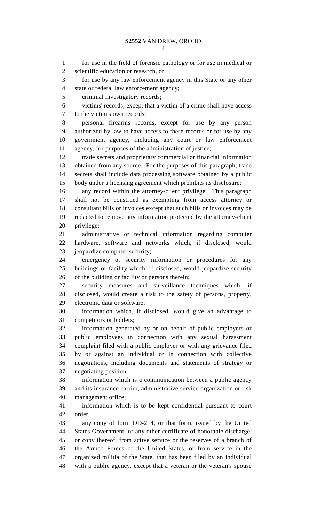1 for use in the field of forensic pathology or for use in medical or 2 scientific education or research, or 3 for use by any law enforcement agency in this State or any other 4 state or federal law enforcement agency; 5 criminal investigatory records; 6 victims' records, except that a victim of a crime shall have access 7 to the victim's own records; 8 personal firearms records, except for use by any person 9 authorized by law to have access to these records or for use by any 10 government agency, including any court or law enforcement 11 agency, for purposes of the administration of justice; 12 trade secrets and proprietary commercial or financial information 13 obtained from any source. For the purposes of this paragraph, trade 14 secrets shall include data processing software obtained by a public 15 body under a licensing agreement which prohibits its disclosure; 16 any record within the attorney-client privilege. This paragraph 17 shall not be construed as exempting from access attorney or 18 consultant bills or invoices except that such bills or invoices may be 19 redacted to remove any information protected by the attorney-client 20 privilege; 21 administrative or technical information regarding computer 22 hardware, software and networks which, if disclosed, would 23 jeopardize computer security; 24 emergency or security information or procedures for any 25 buildings or facility which, if disclosed, would jeopardize security 26 of the building or facility or persons therein; 27 security measures and surveillance techniques which, if 28 disclosed, would create a risk to the safety of persons, property, 29 electronic data or software; 30 information which, if disclosed, would give an advantage to 31 competitors or bidders; 32 information generated by or on behalf of public employers or 33 public employees in connection with any sexual harassment 34 complaint filed with a public employer or with any grievance filed 35 by or against an individual or in connection with collective 36 negotiations, including documents and statements of strategy or 37 negotiating position; 38 information which is a communication between a public agency 39 and its insurance carrier, administrative service organization or risk 40 management office; 41 information which is to be kept confidential pursuant to court 42 order; 43 any copy of form DD-214, or that form, issued by the United 44 States Government, or any other certificate of honorable discharge, 45 or copy thereof, from active service or the reserves of a branch of 46 the Armed Forces of the United States, or from service in the 47 organized militia of the State, that has been filed by an individual 48 with a public agency, except that a veteran or the veteran's spouse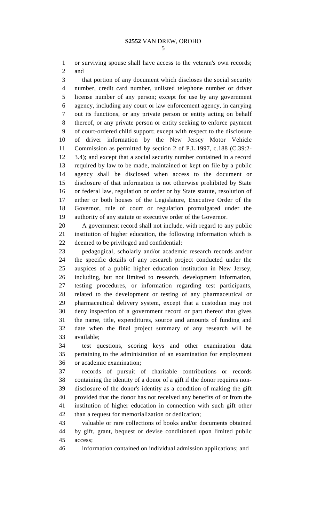1 or surviving spouse shall have access to the veteran's own records; 2 and

3 that portion of any document which discloses the social security 4 number, credit card number, unlisted telephone number or driver 5 license number of any person; except for use by any government 6 agency, including any court or law enforcement agency, in carrying 7 out its functions, or any private person or entity acting on behalf 8 thereof, or any private person or entity seeking to enforce payment 9 of court-ordered child support; except with respect to the disclosure 10 of driver information by the New Jersey Motor Vehicle 11 Commission as permitted by section 2 of P.L.1997, c.188 (C.39:2- 12 3.4); and except that a social security number contained in a record 13 required by law to be made, maintained or kept on file by a public 14 agency shall be disclosed when access to the document or 15 disclosure of that information is not otherwise prohibited by State 16 or federal law, regulation or order or by State statute, resolution of 17 either or both houses of the Legislature, Executive Order of the 18 Governor, rule of court or regulation promulgated under the 19 authority of any statute or executive order of the Governor.

20 A government record shall not include, with regard to any public 21 institution of higher education, the following information which is 22 deemed to be privileged and confidential:

23 pedagogical, scholarly and/or academic research records and/or 24 the specific details of any research project conducted under the 25 auspices of a public higher education institution in New Jersey, 26 including, but not limited to research, development information, 27 testing procedures, or information regarding test participants, 28 related to the development or testing of any pharmaceutical or 29 pharmaceutical delivery system, except that a custodian may not 30 deny inspection of a government record or part thereof that gives 31 the name, title, expenditures, source and amounts of funding and 32 date when the final project summary of any research will be 33 available;

34 test questions, scoring keys and other examination data 35 pertaining to the administration of an examination for employment 36 or academic examination;

37 records of pursuit of charitable contributions or records 38 containing the identity of a donor of a gift if the donor requires non-39 disclosure of the donor's identity as a condition of making the gift 40 provided that the donor has not received any benefits of or from the 41 institution of higher education in connection with such gift other 42 than a request for memorialization or dedication;

43 valuable or rare collections of books and/or documents obtained 44 by gift, grant, bequest or devise conditioned upon limited public 45 access;

46 information contained on individual admission applications; and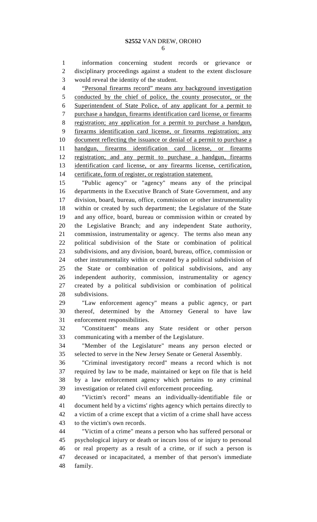1 information concerning student records or grievance or 2 disciplinary proceedings against a student to the extent disclosure 3 would reveal the identity of the student.

4 "Personal firearms record" means any background investigation 5 conducted by the chief of police, the county prosecutor, or the 6 Superintendent of State Police, of any applicant for a permit to 7 purchase a handgun, firearms identification card license, or firearms 8 registration; any application for a permit to purchase a handgun, 9 firearms identification card license, or firearms registration; any 10 document reflecting the issuance or denial of a permit to purchase a 11 handgun, firearms identification card license, or firearms 12 registration; and any permit to purchase a handgun, firearms 13 identification card license, or any firearms license, certification, 14 certificate, form of register, or registration statement.

15 "Public agency" or "agency" means any of the principal 16 departments in the Executive Branch of State Government, and any 17 division, board, bureau, office, commission or other instrumentality 18 within or created by such department; the Legislature of the State 19 and any office, board, bureau or commission within or created by 20 the Legislative Branch; and any independent State authority, 21 commission, instrumentality or agency. The terms also mean any 22 political subdivision of the State or combination of political 23 subdivisions, and any division, board, bureau, office, commission or 24 other instrumentality within or created by a political subdivision of 25 the State or combination of political subdivisions, and any 26 independent authority, commission, instrumentality or agency 27 created by a political subdivision or combination of political 28 subdivisions.

29 "Law enforcement agency" means a public agency, or part 30 thereof, determined by the Attorney General to have law 31 enforcement responsibilities.

32 "Constituent" means any State resident or other person 33 communicating with a member of the Legislature.

34 "Member of the Legislature" means any person elected or 35 selected to serve in the New Jersey Senate or General Assembly.

36 "Criminal investigatory record" means a record which is not 37 required by law to be made, maintained or kept on file that is held 38 by a law enforcement agency which pertains to any criminal 39 investigation or related civil enforcement proceeding.

40 "Victim's record" means an individually-identifiable file or 41 document held by a victims' rights agency which pertains directly to 42 a victim of a crime except that a victim of a crime shall have access 43 to the victim's own records.

44 "Victim of a crime" means a person who has suffered personal or 45 psychological injury or death or incurs loss of or injury to personal 46 or real property as a result of a crime, or if such a person is 47 deceased or incapacitated, a member of that person's immediate 48 family.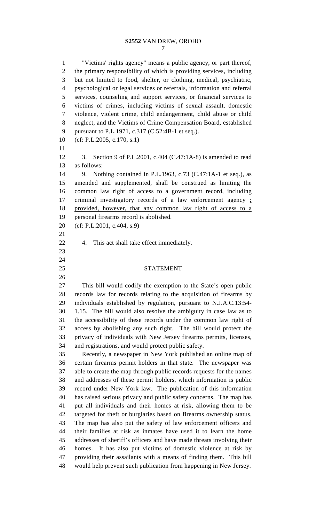## **S2552** VAN DREW, OROHO

1 "Victims' rights agency" means a public agency, or part thereof, 2 the primary responsibility of which is providing services, including 3 but not limited to food, shelter, or clothing, medical, psychiatric, 4 psychological or legal services or referrals, information and referral 5 services, counseling and support services, or financial services to 6 victims of crimes, including victims of sexual assault, domestic 7 violence, violent crime, child endangerment, child abuse or child 8 neglect, and the Victims of Crime Compensation Board, established 9 pursuant to P.L.1971, c.317 (C.52:4B-1 et seq.). 10 (cf: P.L.2005, c.170, s.1) 11 12 3. Section 9 of P.L.2001, c.404 (C.47:1A-8) is amended to read 13 as follows: 14 9. Nothing contained in P.L.1963, c.73 (C.47:1A-1 et seq.), as 15 amended and supplemented, shall be construed as limiting the 16 common law right of access to a government record, including 17 criminal investigatory records of a law enforcement agency ; 18 provided, however, that any common law right of access to a 19 personal firearms record is abolished. 20 (cf: P.L.2001, c.404, s.9) 21 22 4. This act shall take effect immediately. 23 24 25 STATEMENT 26 27 This bill would codify the exemption to the State's open public 28 records law for records relating to the acquisition of firearms by 29 individuals established by regulation, pursuant to N.J.A.C.13:54- 30 1.15. The bill would also resolve the ambiguity in case law as to 31 the accessibility of these records under the common law right of 32 access by abolishing any such right. The bill would protect the 33 privacy of individuals with New Jersey firearms permits, licenses, 34 and registrations, and would protect public safety. 35 Recently, a newspaper in New York published an online map of 36 certain firearms permit holders in that state. The newspaper was 37 able to create the map through public records requests for the names 38 and addresses of these permit holders, which information is public 39 record under New York law. The publication of this information 40 has raised serious privacy and public safety concerns. The map has 41 put all individuals and their homes at risk, allowing them to be 42 targeted for theft or burglaries based on firearms ownership status. 43 The map has also put the safety of law enforcement officers and 44 their families at risk as inmates have used it to learn the home 45 addresses of sheriff's officers and have made threats involving their 46 homes. It has also put victims of domestic violence at risk by 47 providing their assailants with a means of finding them. This bill 48 would help prevent such publication from happening in New Jersey.